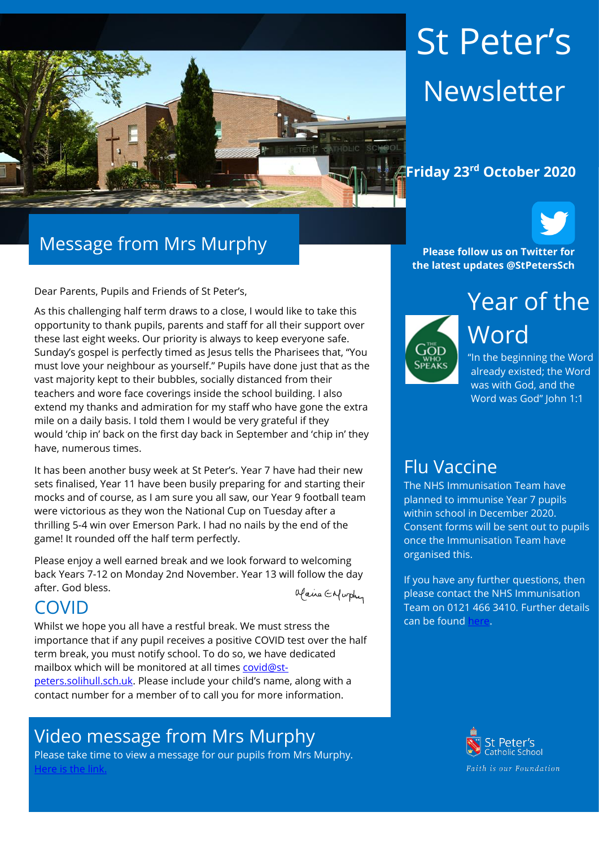

# St Peter's Newsletter

#### **Friday 23rd October 2020**



Dear Parents, Pupils and Friends of St Peter's,

As this challenging half term draws to a close, I would like to take this opportunity to thank pupils, parents and staff for all their support over these last eight weeks. Our priority is always to keep everyone safe. Sunday's gospel is perfectly timed as Jesus tells the Pharisees that, "You must love your neighbour as yourself." Pupils have done just that as the vast majority kept to their bubbles, socially distanced from their teachers and wore face coverings inside the school building. I also extend my thanks and admiration for my staff who have gone the extra mile on a daily basis. I told them I would be very grateful if they would 'chip in' back on the first day back in September and 'chip in' they have, numerous times.

It has been another busy week at St Peter's. Year 7 have had their new sets finalised, Year 11 have been busily preparing for and starting their mocks and of course, as I am sure you all saw, our Year 9 football team were victorious as they won the National Cup on Tuesday after a thrilling 5-4 win over Emerson Park. I had no nails by the end of the game! It rounded off the half term perfectly.

Please enjoy a well earned break and we look forward to welcoming back Years 7-12 on Monday 2nd November. Year 13 will follow the day after. God bless.

Maire Enfurthy

# COVID

Whilst we hope you all have a restful break. We must stress the importance that if any pupil receives a positive COVID test over the half term break, you must notify school. To do so, we have dedicated mailbox which will be monitored at all times [covid@st](mailto:covid@st-peters.solihull.sch.uk)[peters.solihull.sch.uk.](mailto:covid@st-peters.solihull.sch.uk) Please include your child's name, along with a contact number for a member of to call you for more information.

# Video message from Mrs Murphy

Please take time to view a message for our pupils from Mrs Murphy. [Here is the link.](https://youtu.be/_MCHK3oZ3bs)

**Please follow us on Twitter for the latest updates @StPetersSch**



Year of the Word

"In the beginning the Word already existed; the Word was with God, and the Word was God" John 1:1

### Flu Vaccine

The NHS Immunisation Team have planned to immunise Year 7 pupils within school in December 2020. Consent forms will be sent out to pupils once the Immunisation Team have organised this.

If you have any further questions, then please contact the NHS Immunisation Team on 0121 466 3410. Further details can be found

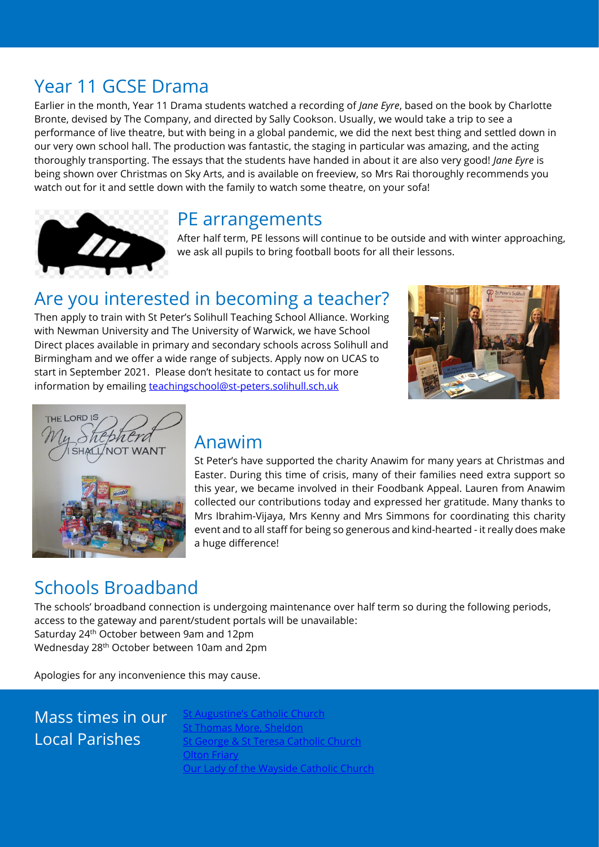# Year 11 GCSE Drama

Earlier in the month, Year 11 Drama students watched a recording of *Jane Eyre*, based on the book by Charlotte Bronte, devised by The Company, and directed by Sally Cookson. Usually, we would take a trip to see a performance of live theatre, but with being in a global pandemic, we did the next best thing and settled down in our very own school hall. The production was fantastic, the staging in particular was amazing, and the acting thoroughly transporting. The essays that the students have handed in about it are also very good! *Jane Eyre* is being shown over Christmas on Sky Arts, and is available on freeview, so Mrs Rai thoroughly recommends you watch out for it and settle down with the family to watch some theatre, on your sofa!



#### PE arrangements

After half term, PE lessons will continue to be outside and with winter approaching, we ask all pupils to bring football boots for all their lessons.

# Are you interested in becoming a teacher?

Then apply to train with St Peter's Solihull Teaching School Alliance. Working with Newman University and The University of Warwick, we have School Direct places available in primary and secondary schools across Solihull and Birmingham and we offer a wide range of subjects. Apply now on UCAS to start in September 2021. Please don't hesitate to contact us for more information by emailing [teachingschool@st-peters.solihull.sch.uk](mailto:teachingschool@st-peters.solihull.sch.uk)





### Anawim

St Peter's have supported the charity Anawim for many years at Christmas and Easter. During this time of crisis, many of their families need extra support so this year, we became involved in their Foodbank Appeal. Lauren from Anawim collected our contributions today and expressed her gratitude. Many thanks to Mrs Ibrahim-Vijaya, Mrs Kenny and Mrs Simmons for coordinating this charity event and to all staff for being so generous and kind-hearted - it really does make a huge difference!

# Schools Broadband

The schools' broadband connection is undergoing maintenance over half term so during the following periods, access to the gateway and parent/student portals will be unavailable: Saturday 24th October between 9am and 12pm

Wednesday 28th October between 10am and 2pm

Apologies for any inconvenience this may cause.

# Mass times in our Local Parishes

[St Augustine's Catholic Church](https://www.staugustinesolihull.org.uk/welcome/mass-book-your-place/) omas More, Sheldon <u>.com..........................</u><br>eorge & St Teresa Catholic Church **[Olton Friary](https://www.oltonfriary.org.uk/)** [Our Lady of the Wayside Catholic Church](http://ourladyofthewaysidechurchshirley.co.uk/)